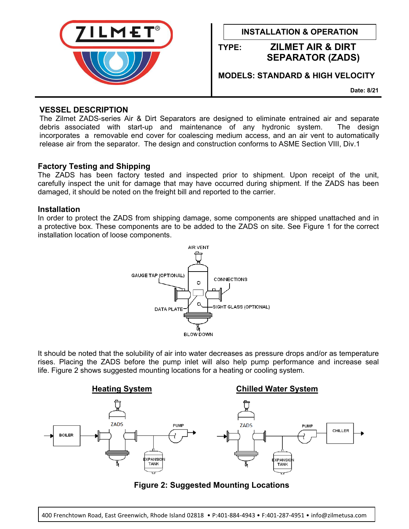

**INSTALLATION & OPERATION** 

**TYPE: ZILMET AIR & DIRT SEPARATOR (ZADS)**

**MODELS: STANDARD & HIGH VELOCITY**

**Date: 8/21** 

#### **VESSEL DESCRIPTION**

The Zilmet ZADS-series Air & Dirt Separators are designed to eliminate entrained air and separate debris associated with start-up and maintenance of any hydronic system. The design incorporates a removable end cover for coalescing medium access, and an air vent to automatically release air from the separator. The design and construction conforms to ASME Section VIII, Div.1

#### **Factory Testing and Shipping**

The ZADS has been factory tested and inspected prior to shipment. Upon receipt of the unit, carefully inspect the unit for damage that may have occurred during shipment. If the ZADS has been damaged, it should be noted on the freight bill and reported to the carrier.

#### **Installation**

In order to protect the ZADS from shipping damage, some components are shipped unattached and in a protective box. These components are to be added to the ZADS on site. See Figure 1 for the correct installation location of loose components.



It should be noted that the solubility of air into water decreases as pressure drops and/or as temperature rises. Placing the ZADS before the pump inlet will also help pump performance and increase seal life. Figure 2 shows suggested mounting locations for a heating or cooling system.



## **Figure 2: Suggested Mounting Locations**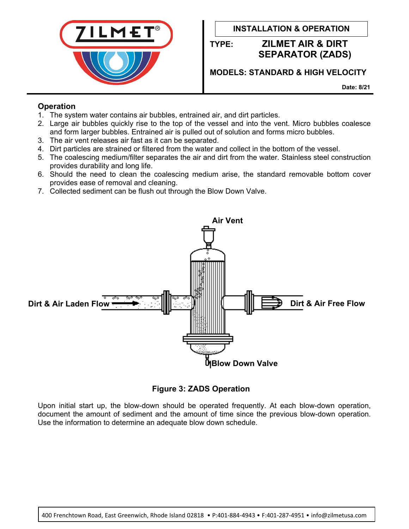

**INSTALLATION & OPERATION** 

# **TYPE: ZILMET AIR & DIRT SEPARATOR (ZADS)**

**MODELS: STANDARD & HIGH VELOCITY**

**Date: 8/21** 

### **Operation**

- 1. The system water contains air bubbles, entrained air, and dirt particles.
- 2. Large air bubbles quickly rise to the top of the vessel and into the vent. Micro bubbles coalesce and form larger bubbles. Entrained air is pulled out of solution and forms micro bubbles.
- 3. The air vent releases air fast as it can be separated.
- 4. Dirt particles are strained or filtered from the water and collect in the bottom of the vessel.
- 5. The coalescing medium/filter separates the air and dirt from the water. Stainless steel construction provides durability and long life.
- 6. Should the need to clean the coalescing medium arise, the standard removable bottom cover provides ease of removal and cleaning.
- 7. Collected sediment can be flush out through the Blow Down Valve.



**Figure 3: ZADS Operation** 

Upon initial start up, the blow-down should be operated frequently. At each blow-down operation, document the amount of sediment and the amount of time since the previous blow-down operation. Use the information to determine an adequate blow down schedule.